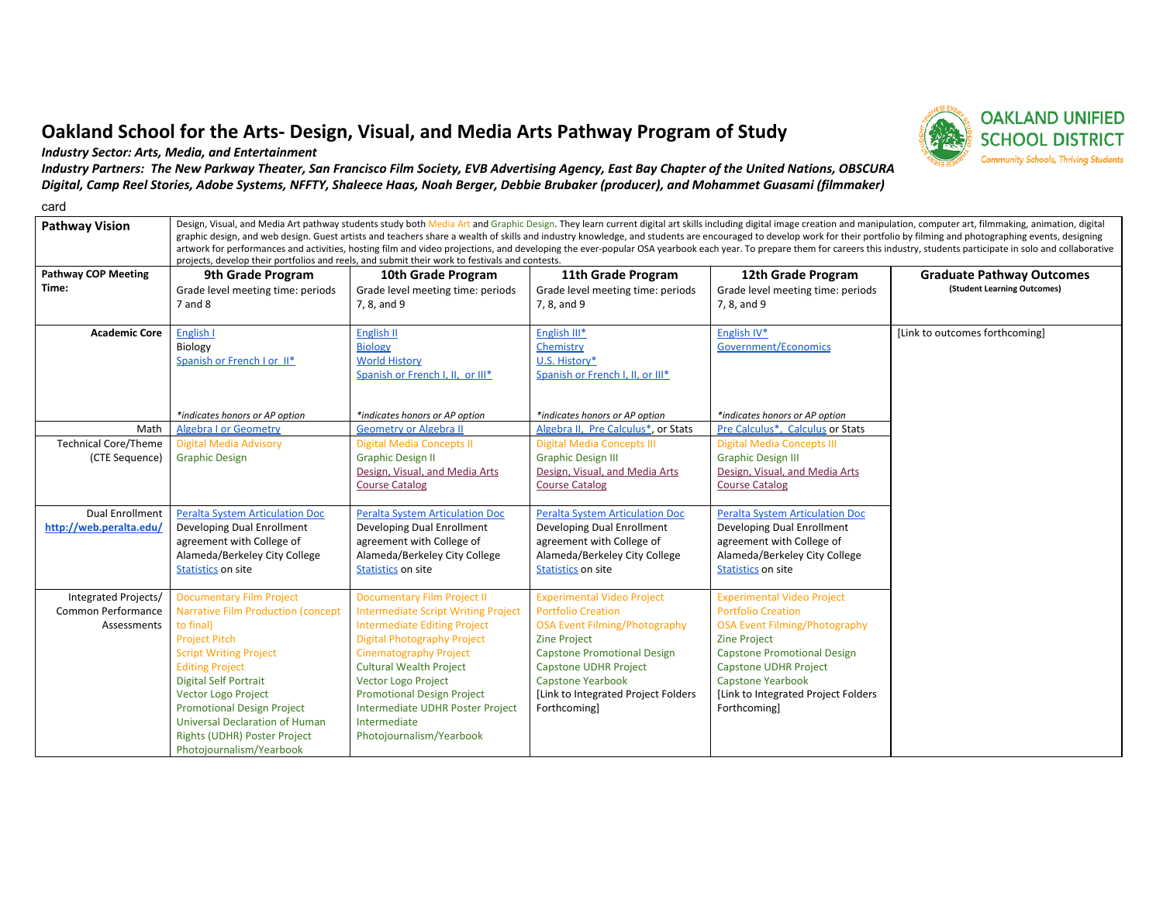## Oakland School for the Arts- Design, Visual, and Media Arts Pathway Program of Study

Industry Sector: Arts, Media, and Entertainment

Industry Partners: The New Parkway Theater, San Francisco Film Society, EVB Advertising Agency, East Bay Chapter of the United Nations, OBSCURA Digital, Camp Reel Stories, Adobe Systems, NFFTY, Shaleece Haas, Noah Berger, Debbie Brubaker (producer), and Mohammet Guasami (filmmaker)

card

**Pathway Vision** Design, Visual, and Media Art pathway students study both Media Art and Graphic Design. They learn current digital art skills including digital image creation and manipulation, computer art, filmmaking, an artwork for performances and activities, hosting film and video projections, and developing the ever-popular OSA yearbook each year. To prepare them for careers this industry, students participate in solo and collaborative projects, develop their portfolios and reels, and submit their work to festivals and contests.

| <b>Pathway COP Meeting</b>  |                                           | projects, develop their portionos and reels, and submit their work to restivals and contests. |                                        |                                      |                                                                 |
|-----------------------------|-------------------------------------------|-----------------------------------------------------------------------------------------------|----------------------------------------|--------------------------------------|-----------------------------------------------------------------|
| Time:                       | 9th Grade Program                         | 10th Grade Program                                                                            | 11th Grade Program                     | 12th Grade Program                   | <b>Graduate Pathway Outcomes</b><br>(Student Learning Outcomes) |
|                             | Grade level meeting time: periods         | Grade level meeting time: periods                                                             | Grade level meeting time: periods      | Grade level meeting time: periods    |                                                                 |
|                             | 7 and 8                                   | 7, 8, and 9                                                                                   | 7, 8, and 9                            | 7, 8, and 9                          |                                                                 |
| <b>Academic Core</b>        | English I                                 | English II                                                                                    | English III*                           | English IV*                          | [Link to outcomes forthcoming]                                  |
|                             | Biology                                   | <b>Biology</b>                                                                                | Chemistry                              | Government/Economics                 |                                                                 |
|                             | Spanish or French I or II*                | <b>World History</b>                                                                          | U.S. History*                          |                                      |                                                                 |
|                             |                                           | Spanish or French I, II, or III*                                                              | Spanish or French I, II, or III*       |                                      |                                                                 |
|                             |                                           |                                                                                               |                                        |                                      |                                                                 |
|                             | *indicates honors or AP option            | *indicates honors or AP option                                                                | *indicates honors or AP option         | *indicates honors or AP option       |                                                                 |
| Math                        | <b>Algebra I or Geometry</b>              | <b>Geometry or Algebra II</b>                                                                 | Algebra II, Pre Calculus*, or Stats    | Pre Calculus*, Calculus or Stats     |                                                                 |
| <b>Technical Core/Theme</b> | <b>Digital Media Advisory</b>             | <b>Digital Media Concepts II</b>                                                              | <b>Digital Media Concepts III</b>      | <b>Digital Media Concepts III</b>    |                                                                 |
| (CTE Sequence)              | <b>Graphic Design</b>                     | <b>Graphic Design II</b>                                                                      | <b>Graphic Design III</b>              | <b>Graphic Design III</b>            |                                                                 |
|                             |                                           | Design, Visual, and Media Arts                                                                | Design, Visual, and Media Arts         | Design, Visual, and Media Arts       |                                                                 |
|                             |                                           | <b>Course Catalog</b>                                                                         | <b>Course Catalog</b>                  | <b>Course Catalog</b>                |                                                                 |
| <b>Dual Enrollment</b>      | <b>Peralta System Articulation Doc</b>    | Peralta System Articulation Doc                                                               | <b>Peralta System Articulation Doc</b> | Peralta System Articulation Doc      |                                                                 |
| http://web.peralta.edu/     | Developing Dual Enrollment                | Developing Dual Enrollment                                                                    | Developing Dual Enrollment             | Developing Dual Enrollment           |                                                                 |
|                             | agreement with College of                 | agreement with College of                                                                     | agreement with College of              | agreement with College of            |                                                                 |
|                             | Alameda/Berkeley City College             | Alameda/Berkeley City College                                                                 | Alameda/Berkeley City College          | Alameda/Berkeley City College        |                                                                 |
|                             | Statistics on site                        | <b>Statistics on site</b>                                                                     | Statistics on site                     | Statistics on site                   |                                                                 |
|                             |                                           |                                                                                               |                                        |                                      |                                                                 |
| Integrated Projects/        | <b>Documentary Film Project</b>           | <b>Documentary Film Project II</b>                                                            | <b>Experimental Video Project</b>      | <b>Experimental Video Project</b>    |                                                                 |
| <b>Common Performance</b>   | <b>Narrative Film Production (concept</b> | <b>Intermediate Script Writing Project</b>                                                    | <b>Portfolio Creation</b>              | <b>Portfolio Creation</b>            |                                                                 |
| Assessments                 | to final)                                 | <b>Intermediate Editing Project</b>                                                           | <b>OSA Event Filming/Photography</b>   | <b>OSA Event Filming/Photography</b> |                                                                 |
|                             | <b>Project Pitch</b>                      | <b>Digital Photography Project</b>                                                            | <b>Zine Project</b>                    | <b>Zine Project</b>                  |                                                                 |
|                             | <b>Script Writing Project</b>             | <b>Cinematography Project</b>                                                                 | <b>Capstone Promotional Design</b>     | <b>Capstone Promotional Design</b>   |                                                                 |
|                             | <b>Editing Project</b>                    | <b>Cultural Wealth Project</b>                                                                | Capstone UDHR Project                  | <b>Capstone UDHR Project</b>         |                                                                 |
|                             | <b>Digital Self Portrait</b>              | <b>Vector Logo Project</b>                                                                    | Capstone Yearbook                      | <b>Capstone Yearbook</b>             |                                                                 |
|                             | <b>Vector Logo Project</b>                | <b>Promotional Design Project</b>                                                             | [Link to Integrated Project Folders    | [Link to Integrated Project Folders  |                                                                 |
|                             | <b>Promotional Design Project</b>         | Intermediate UDHR Poster Project                                                              | Forthcoming]                           | Forthcoming]                         |                                                                 |
|                             | <b>Universal Declaration of Human</b>     | Intermediate                                                                                  |                                        |                                      |                                                                 |
|                             | <b>Rights (UDHR) Poster Project</b>       | Photojournalism/Yearbook                                                                      |                                        |                                      |                                                                 |
|                             | Photojournalism/Yearbook                  |                                                                                               |                                        |                                      |                                                                 |

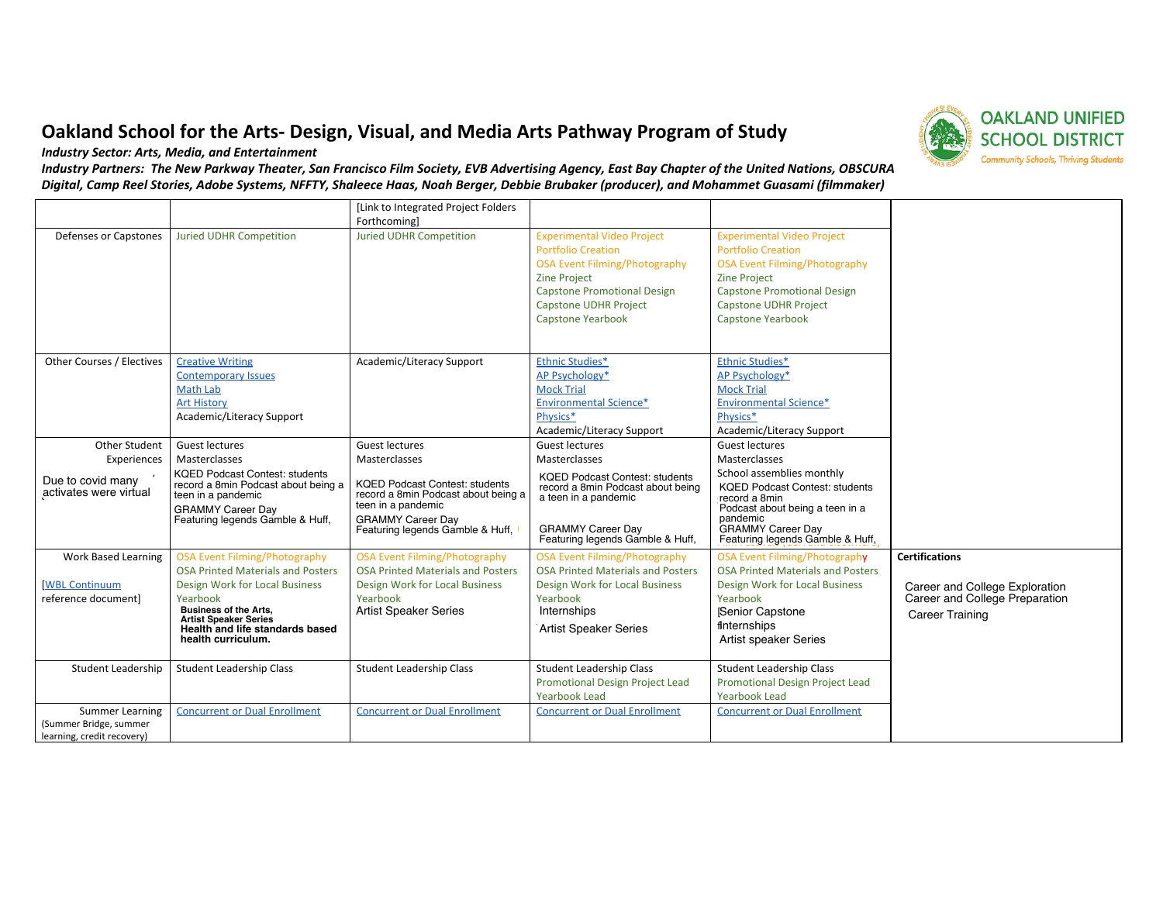## Oakland School for the Arts- Design, Visual, and Media Arts Pathway Program of Study

Industry Sector: Arts, Media, and Entertainment

Industry Partners: The New Parkway Theater, San Francisco Film Society, EVB Advertising Agency, East Bay Chapter of the United Nations, OBSCURA Digital, Camp Reel Stories, Adobe Systems, NFFTY, Shaleece Haas, Noah Berger, Debbie Brubaker (producer), and Mohammet Guasami (filmmaker)

|                                                      |                                                                                                                                                                                                                        | [Link to Integrated Project Folders]<br>Forthcoming                                                                                                                |                                                                                                                                                                                                                                 |                                                                                                                                                                                                                                 |                                                                                            |
|------------------------------------------------------|------------------------------------------------------------------------------------------------------------------------------------------------------------------------------------------------------------------------|--------------------------------------------------------------------------------------------------------------------------------------------------------------------|---------------------------------------------------------------------------------------------------------------------------------------------------------------------------------------------------------------------------------|---------------------------------------------------------------------------------------------------------------------------------------------------------------------------------------------------------------------------------|--------------------------------------------------------------------------------------------|
| Defenses or Capstones                                | <b>Juried UDHR Competition</b>                                                                                                                                                                                         | <b>Juried UDHR Competition</b>                                                                                                                                     | <b>Experimental Video Project</b><br><b>Portfolio Creation</b><br><b>OSA Event Filming/Photography</b><br><b>Zine Project</b><br><b>Capstone Promotional Design</b><br><b>Capstone UDHR Project</b><br><b>Capstone Yearbook</b> | <b>Experimental Video Project</b><br><b>Portfolio Creation</b><br><b>OSA Event Filming/Photography</b><br><b>Zine Project</b><br><b>Capstone Promotional Design</b><br><b>Capstone UDHR Project</b><br><b>Capstone Yearbook</b> |                                                                                            |
| Other Courses / Electives                            | <b>Creative Writing</b><br><b>Contemporary Issues</b><br>Math Lab<br><b>Art History</b><br>Academic/Literacy Support                                                                                                   | Academic/Literacy Support                                                                                                                                          | Ethnic Studies*<br>AP Psychology*<br><b>Mock Trial</b><br><b>Environmental Science*</b><br>Physics*<br>Academic/Literacy Support                                                                                                | Ethnic Studies*<br>AP Psychology*<br><b>Mock Trial</b><br><b>Environmental Science*</b><br>Physics*<br>Academic/Literacy Support                                                                                                |                                                                                            |
| Other Student                                        | <b>Guest lectures</b>                                                                                                                                                                                                  | <b>Guest lectures</b>                                                                                                                                              | Guest lectures                                                                                                                                                                                                                  | <b>Guest lectures</b>                                                                                                                                                                                                           |                                                                                            |
| Experiences                                          | Masterclasses                                                                                                                                                                                                          | Masterclasses                                                                                                                                                      | Masterclasses                                                                                                                                                                                                                   | Masterclasses                                                                                                                                                                                                                   |                                                                                            |
| Due to covid many<br>activates were virtual          | <b>KQED Podcast Contest: students</b><br>record a 8min Podcast about being a<br>teen in a pandemic<br><b>GRAMMY Career Day</b><br>Featuring legends Gamble & Huff,                                                     | <b>KQED Podcast Contest: students</b><br>record a 8min Podcast about being a<br>teen in a pandemic<br><b>GRAMMY Career Dav</b><br>Featuring legends Gamble & Huff, | <b>KQED Podcast Contest: students</b><br>record a 8min Podcast about being<br>a teen in a pandemic<br><b>GRAMMY Career Day</b><br>Featuring legends Gamble & Huff,                                                              | School assemblies monthly<br><b>KQED Podcast Contest: students</b><br>record a 8min<br>Podcast about being a teen in a<br>pandemic<br><b>GRAMMY Career Day</b><br>Featuring legends Gamble & Huff,                              |                                                                                            |
| <b>Work Based Learning</b>                           | <b>OSA Event Filming/Photography</b>                                                                                                                                                                                   | <b>OSA Event Filming/Photography</b>                                                                                                                               | <b>OSA Event Filming/Photography</b>                                                                                                                                                                                            | <b>OSA Event Filming/Photography</b>                                                                                                                                                                                            | <b>Certifications</b>                                                                      |
| <b>IWBL Continuum</b><br>reference document]         | <b>OSA Printed Materials and Posters</b><br>Design Work for Local Business<br>Yearbook<br><b>Business of the Arts,</b><br><b>Artist Speaker Series</b><br><b>Health and life standards based</b><br>health curriculum. | <b>OSA Printed Materials and Posters</b><br>Design Work for Local Business<br>Yearbook<br><b>Artist Speaker Series</b>                                             | <b>OSA Printed Materials and Posters</b><br><b>Design Work for Local Business</b><br>Yearbook<br>Internships<br><b>Artist Speaker Series</b>                                                                                    | <b>OSA Printed Materials and Posters</b><br><b>Design Work for Local Business</b><br>Yearbook<br>Senior Capstone<br>finternships<br><b>Artist speaker Series</b>                                                                | Career and College Exploration<br>Career and College Preparation<br><b>Career Training</b> |
| <b>Student Leadership</b>                            | Student Leadership Class                                                                                                                                                                                               | <b>Student Leadership Class</b>                                                                                                                                    | <b>Student Leadership Class</b>                                                                                                                                                                                                 | <b>Student Leadership Class</b>                                                                                                                                                                                                 |                                                                                            |
|                                                      |                                                                                                                                                                                                                        |                                                                                                                                                                    | <b>Promotional Design Project Lead</b><br><b>Yearbook Lead</b>                                                                                                                                                                  | <b>Promotional Design Project Lead</b><br><b>Yearbook Lead</b>                                                                                                                                                                  |                                                                                            |
| <b>Summer Learning</b>                               | <b>Concurrent or Dual Enrollment</b>                                                                                                                                                                                   | <b>Concurrent or Dual Enrollment</b>                                                                                                                               | <b>Concurrent or Dual Enrollment</b>                                                                                                                                                                                            | <b>Concurrent or Dual Enrollment</b>                                                                                                                                                                                            |                                                                                            |
| (Summer Bridge, summer<br>learning, credit recovery) |                                                                                                                                                                                                                        |                                                                                                                                                                    |                                                                                                                                                                                                                                 |                                                                                                                                                                                                                                 |                                                                                            |